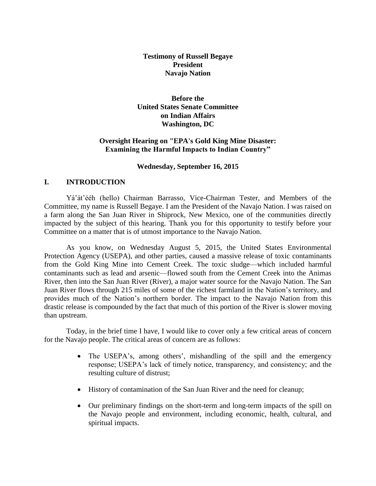# **Testimony of Russell Begaye President Navajo Nation**

**Before the United States Senate Committee on Indian Affairs Washington, DC**

# **Oversight Hearing on "EPA's Gold King Mine Disaster: Examining the Harmful Impacts to Indian Country"**

#### **Wednesday, September 16, 2015**

# **I. INTRODUCTION**

Yá'át'ééh (hello) Chairman Barrasso, Vice-Chairman Tester, and Members of the Committee, my name is Russell Begaye. I am the President of the Navajo Nation. I was raised on a farm along the San Juan River in Shiprock, New Mexico, one of the communities directly impacted by the subject of this hearing. Thank you for this opportunity to testify before your Committee on a matter that is of utmost importance to the Navajo Nation.

As you know, on Wednesday August 5, 2015, the United States Environmental Protection Agency (USEPA), and other parties, caused a massive release of toxic contaminants from the Gold King Mine into Cement Creek. The toxic sludge—which included harmful contaminants such as lead and arsenic—flowed south from the Cement Creek into the Animas River, then into the San Juan River (River), a major water source for the Navajo Nation. The San Juan River flows through 215 miles of some of the richest farmland in the Nation's territory, and provides much of the Nation's northern border. The impact to the Navajo Nation from this drastic release is compounded by the fact that much of this portion of the River is slower moving than upstream.

Today, in the brief time I have, I would like to cover only a few critical areas of concern for the Navajo people. The critical areas of concern are as follows:

- The USEPA's, among others', mishandling of the spill and the emergency response; USEPA's lack of timely notice, transparency, and consistency; and the resulting culture of distrust;
- History of contamination of the San Juan River and the need for cleanup;
- Our preliminary findings on the short-term and long-term impacts of the spill on the Navajo people and environment, including economic, health, cultural, and spiritual impacts.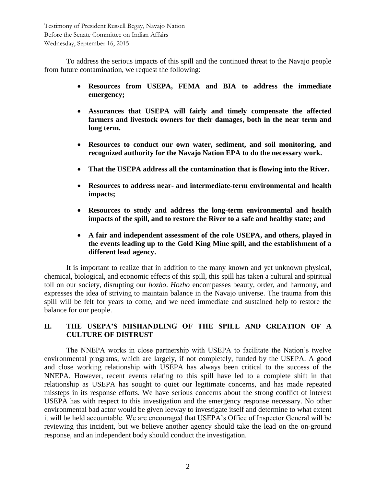To address the serious impacts of this spill and the continued threat to the Navajo people from future contamination, we request the following:

- **Resources from USEPA, FEMA and BIA to address the immediate emergency;**
- **Assurances that USEPA will fairly and timely compensate the affected farmers and livestock owners for their damages, both in the near term and long term.**
- **Resources to conduct our own water, sediment, and soil monitoring, and recognized authority for the Navajo Nation EPA to do the necessary work.**
- **That the USEPA address all the contamination that is flowing into the River.**
- **Resources to address near- and intermediate-term environmental and health impacts;**
- **Resources to study and address the long-term environmental and health impacts of the spill, and to restore the River to a safe and healthy state; and**
- **A fair and independent assessment of the role USEPA, and others, played in the events leading up to the Gold King Mine spill, and the establishment of a different lead agency.**

It is important to realize that in addition to the many known and yet unknown physical, chemical, biological, and economic effects of this spill, this spill has taken a cultural and spiritual toll on our society, disrupting our *hozho*. *Hozho* encompasses beauty, order, and harmony, and expresses the idea of striving to maintain balance in the Navajo universe. The trauma from this spill will be felt for years to come, and we need immediate and sustained help to restore the balance for our people.

# **II. THE USEPA'S MISHANDLING OF THE SPILL AND CREATION OF A CULTURE OF DISTRUST**

The NNEPA works in close partnership with USEPA to facilitate the Nation's twelve environmental programs, which are largely, if not completely, funded by the USEPA. A good and close working relationship with USEPA has always been critical to the success of the NNEPA. However, recent events relating to this spill have led to a complete shift in that relationship as USEPA has sought to quiet our legitimate concerns, and has made repeated missteps in its response efforts. We have serious concerns about the strong conflict of interest USEPA has with respect to this investigation and the emergency response necessary. No other environmental bad actor would be given leeway to investigate itself and determine to what extent it will be held accountable. We are encouraged that USEPA's Office of Inspector General will be reviewing this incident, but we believe another agency should take the lead on the on-ground response, and an independent body should conduct the investigation.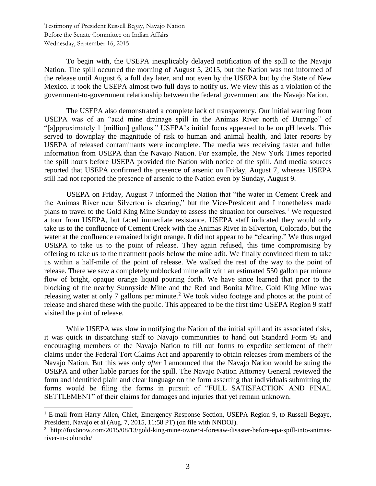$\overline{a}$ 

To begin with, the USEPA inexplicably delayed notification of the spill to the Navajo Nation. The spill occurred the morning of August 5, 2015, but the Nation was not informed of the release until August 6, a full day later, and not even by the USEPA but by the State of New Mexico. It took the USEPA almost two full days to notify us. We view this as a violation of the government-to-government relationship between the federal government and the Navajo Nation.

The USEPA also demonstrated a complete lack of transparency. Our initial warning from USEPA was of an "acid mine drainage spill in the Animas River north of Durango" of "[a]pproximately 1 [million] gallons." USEPA's initial focus appeared to be on pH levels. This served to downplay the magnitude of risk to human and animal health, and later reports by USEPA of released contaminants were incomplete. The media was receiving faster and fuller information from USEPA than the Navajo Nation. For example, the New York Times reported the spill hours before USEPA provided the Nation with notice of the spill. And media sources reported that USEPA confirmed the presence of arsenic on Friday, August 7, whereas USEPA still had not reported the presence of arsenic to the Nation even by Sunday, August 9.

USEPA on Friday, August 7 informed the Nation that "the water in Cement Creek and the Animas River near Silverton is clearing," but the Vice-President and I nonetheless made plans to travel to the Gold King Mine Sunday to assess the situation for ourselves.<sup>1</sup> We requested a tour from USEPA, but faced immediate resistance. USEPA staff indicated they would only take us to the confluence of Cement Creek with the Animas River in Silverton, Colorado, but the water at the confluence remained bright orange. It did not appear to be "clearing." We thus urged USEPA to take us to the point of release. They again refused, this time compromising by offering to take us to the treatment pools below the mine adit. We finally convinced them to take us within a half-mile of the point of release. We walked the rest of the way to the point of release. There we saw a completely unblocked mine adit with an estimated 550 gallon per minute flow of bright, opaque orange liquid pouring forth. We have since learned that prior to the blocking of the nearby Sunnyside Mine and the Red and Bonita Mine, Gold King Mine was releasing water at only 7 gallons per minute.<sup>2</sup> We took video footage and photos at the point of release and shared these with the public. This appeared to be the first time USEPA Region 9 staff visited the point of release.

While USEPA was slow in notifying the Nation of the initial spill and its associated risks, it was quick in dispatching staff to Navajo communities to hand out Standard Form 95 and encouraging members of the Navajo Nation to fill out forms to expedite settlement of their claims under the Federal Tort Claims Act and apparently to obtain releases from members of the Navajo Nation. But this was only *after* I announced that the Navajo Nation would be suing the USEPA and other liable parties for the spill. The Navajo Nation Attorney General reviewed the form and identified plain and clear language on the form asserting that individuals submitting the forms would be filing the forms in pursuit of "FULL SATISFACTION AND FINAL SETTLEMENT" of their claims for damages and injuries that yet remain unknown.

<sup>&</sup>lt;sup>1</sup> E-mail from Harry Allen, Chief, Emergency Response Section, USEPA Region 9, to Russell Begaye, President, Navajo et al (Aug. 7, 2015, 11:58 PT) (on file with NNDOJ).

<sup>2</sup> http://fox6now.com/2015/08/13/gold-king-mine-owner-i-foresaw-disaster-before-epa-spill-into-animasriver-in-colorado/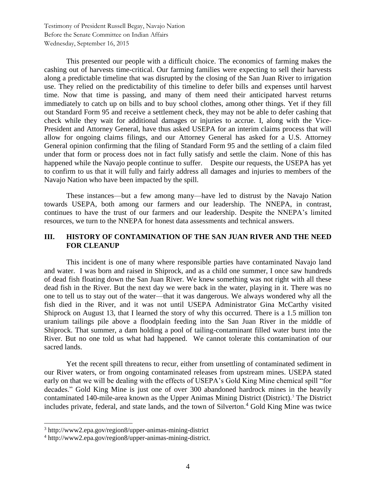This presented our people with a difficult choice. The economics of farming makes the cashing out of harvests time-critical. Our farming families were expecting to sell their harvests along a predictable timeline that was disrupted by the closing of the San Juan River to irrigation use. They relied on the predictability of this timeline to defer bills and expenses until harvest time. Now that time is passing, and many of them need their anticipated harvest returns immediately to catch up on bills and to buy school clothes, among other things. Yet if they fill out Standard Form 95 and receive a settlement check, they may not be able to defer cashing that check while they wait for additional damages or injuries to accrue. I, along with the Vice-President and Attorney General, have thus asked USEPA for an interim claims process that will allow for ongoing claims filings, and our Attorney General has asked for a U.S. Attorney General opinion confirming that the filing of Standard Form 95 and the settling of a claim filed under that form or process does not in fact fully satisfy and settle the claim. None of this has happened while the Navajo people continue to suffer. Despite our requests, the USEPA has yet to confirm to us that it will fully and fairly address all damages and injuries to members of the Navajo Nation who have been impacted by the spill.

These instances—but a few among many—have led to distrust by the Navajo Nation towards USEPA, both among our farmers and our leadership. The NNEPA, in contrast, continues to have the trust of our farmers and our leadership. Despite the NNEPA's limited resources, we turn to the NNEPA for honest data assessments and technical answers.

# **III. HISTORY OF CONTAMINATION OF THE SAN JUAN RIVER AND THE NEED FOR CLEANUP**

This incident is one of many where responsible parties have contaminated Navajo land and water. I was born and raised in Shiprock, and as a child one summer, I once saw hundreds of dead fish floating down the San Juan River. We knew something was not right with all these dead fish in the River. But the next day we were back in the water, playing in it. There was no one to tell us to stay out of the water—that it was dangerous. We always wondered why all the fish died in the River, and it was not until USEPA Administrator Gina McCarthy visited Shiprock on August 13, that I learned the story of why this occurred. There is a 1.5 million ton uranium tailings pile above a floodplain feeding into the San Juan River in the middle of Shiprock. That summer, a dam holding a pool of tailing-contaminant filled water burst into the River. But no one told us what had happened. We cannot tolerate this contamination of our sacred lands.

Yet the recent spill threatens to recur, either from unsettling of contaminated sediment in our River waters, or from ongoing contaminated releases from upstream mines. USEPA stated early on that we will be dealing with the effects of USEPA's Gold King Mine chemical spill "for decades." Gold King Mine is just one of over 300 abandoned hardrock mines in the heavily contaminated 140-mile-area known as the Upper Animas Mining District (District).<sup>3</sup> The District includes private, federal, and state lands, and the town of Silverton.<sup>4</sup> Gold King Mine was twice

<sup>3</sup> http://www2.epa.gov/region8/upper-animas-mining-district

<sup>4</sup> http://www2.epa.gov/region8/upper-animas-mining-district.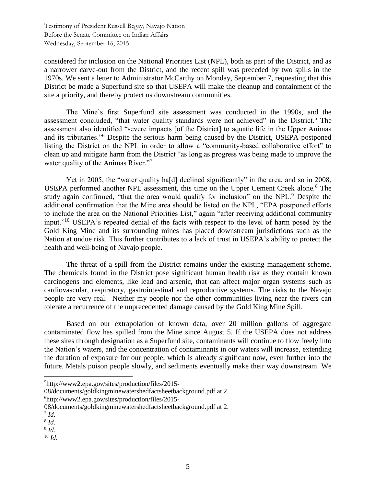considered for inclusion on the National Priorities List (NPL), both as part of the District, and as a narrower carve-out from the District, and the recent spill was preceded by two spills in the 1970s. We sent a letter to Administrator McCarthy on Monday, September 7, requesting that this District be made a Superfund site so that USEPA will make the cleanup and containment of the site a priority, and thereby protect us downstream communities.

The Mine's first Superfund site assessment was conducted in the 1990s, and the assessment concluded, "that water quality standards were not achieved" in the District.<sup>5</sup> The assessment also identified "severe impacts [of the District] to aquatic life in the Upper Animas and its tributaries."<sup>6</sup> Despite the serious harm being caused by the District, USEPA postponed listing the District on the NPL in order to allow a "community-based collaborative effort" to clean up and mitigate harm from the District "as long as progress was being made to improve the water quality of the Animas River."<sup>7</sup>

Yet in 2005, the "water quality ha[d] declined significantly" in the area, and so in 2008, USEPA performed another NPL assessment, this time on the Upper Cement Creek alone.<sup>8</sup> The study again confirmed, "that the area would qualify for inclusion" on the NPL.<sup>9</sup> Despite the additional confirmation that the Mine area should be listed on the NPL, "EPA postponed efforts to include the area on the National Priorities List," again "after receiving additional community input."<sup>10</sup> USEPA's repeated denial of the facts with respect to the level of harm posed by the Gold King Mine and its surrounding mines has placed downstream jurisdictions such as the Nation at undue risk. This further contributes to a lack of trust in USEPA's ability to protect the health and well-being of Navajo people.

The threat of a spill from the District remains under the existing management scheme. The chemicals found in the District pose significant human health risk as they contain known carcinogens and elements, like lead and arsenic, that can affect major organ systems such as cardiovascular, respiratory, gastrointestinal and reproductive systems. The risks to the Navajo people are very real. Neither my people nor the other communities living near the rivers can tolerate a recurrence of the unprecedented damage caused by the Gold King Mine Spill.

Based on our extrapolation of known data, over 20 million gallons of aggregate contaminated flow has spilled from the Mine since August 5. If the USEPA does not address these sites through designation as a Superfund site, contaminants will continue to flow freely into the Nation's waters, and the concentration of contaminants in our waters will increase, extending the duration of exposure for our people, which is already significant now, even further into the future. Metals poison people slowly, and sediments eventually make their way downstream. We

 $\overline{a}$ 

<sup>10</sup> *Id*.

<sup>5</sup>http://www2.epa.gov/sites/production/files/2015-

<sup>08/</sup>documents/goldkingminewatershedfactsheetbackground.pdf at 2.

<sup>6</sup>http://www2.epa.gov/sites/production/files/2015-

<sup>08/</sup>documents/goldkingminewatershedfactsheetbackground.pdf at 2.

<sup>7</sup> *Id*.

<sup>8</sup> *Id*.

<sup>9</sup> *Id*.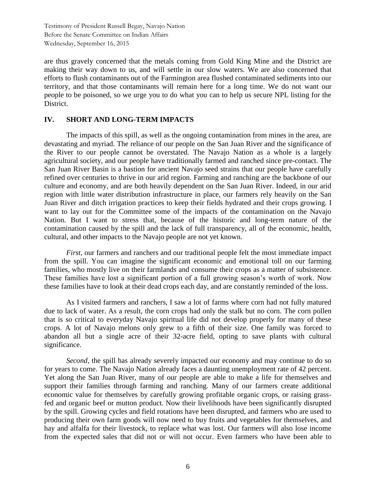are thus gravely concerned that the metals coming from Gold King Mine and the District are making their way down to us, and will settle in our slow waters. We are also concerned that efforts to flush contaminants out of the Farmington area flushed contaminated sediments into our territory, and that those contaminants will remain here for a long time. We do not want our people to be poisoned, so we urge you to do what you can to help us secure NPL listing for the District.

# **IV. SHORT AND LONG-TERM IMPACTS**

The impacts of this spill, as well as the ongoing contamination from mines in the area, are devastating and myriad. The reliance of our people on the San Juan River and the significance of the River to our people cannot be overstated. The Navajo Nation as a whole is a largely agricultural society, and our people have traditionally farmed and ranched since pre-contact. The San Juan River Basin is a bastion for ancient Navajo seed strains that our people have carefully refined over centuries to thrive in our arid region. Farming and ranching are the backbone of our culture and economy, and are both heavily dependent on the San Juan River. Indeed, in our arid region with little water distribution infrastructure in place, our farmers rely heavily on the San Juan River and ditch irrigation practices to keep their fields hydrated and their crops growing. I want to lay out for the Committee some of the impacts of the contamination on the Navajo Nation. But I want to stress that, because of the historic and long-term nature of the contamination caused by the spill and the lack of full transparency, all of the economic, health, cultural, and other impacts to the Navajo people are not yet known.

*First*, our farmers and ranchers and our traditional people felt the most immediate impact from the spill. You can imagine the significant economic and emotional toll on our farming families, who mostly live on their farmlands and consume their crops as a matter of subsistence. These families have lost a significant portion of a full growing season's worth of work. Now these families have to look at their dead crops each day, and are constantly reminded of the loss.

As I visited farmers and ranchers, I saw a lot of farms where corn had not fully matured due to lack of water. As a result, the corn crops had only the stalk but no corn. The corn pollen that is so critical to everyday Navajo spiritual life did not develop properly for many of these crops. A lot of Navajo melons only grew to a fifth of their size. One family was forced to abandon all but a single acre of their 32-acre field, opting to save plants with cultural significance.

*Second,* the spill has already severely impacted our economy and may continue to do so for years to come. The Navajo Nation already faces a daunting unemployment rate of 42 percent. Yet along the San Juan River, many of our people are able to make a life for themselves and support their families through farming and ranching. Many of our farmers create additional economic value for themselves by carefully growing profitable organic crops, or raising grassfed and organic beef or mutton product. Now their livelihoods have been significantly disrupted by the spill. Growing cycles and field rotations have been disrupted, and farmers who are used to producing their own farm goods will now need to buy fruits and vegetables for themselves, and hay and alfalfa for their livestock, to replace what was lost. Our farmers will also lose income from the expected sales that did not or will not occur. Even farmers who have been able to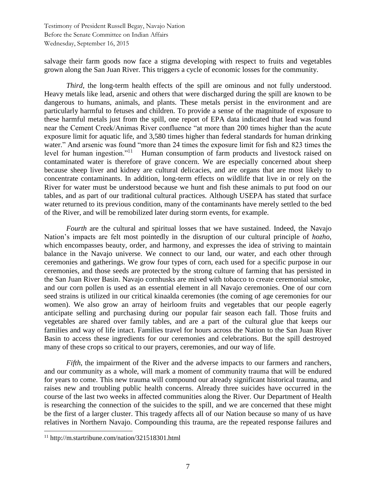salvage their farm goods now face a stigma developing with respect to fruits and vegetables grown along the San Juan River. This triggers a cycle of economic losses for the community.

*Third*, the long-term health effects of the spill are ominous and not fully understood. Heavy metals like lead, arsenic and others that were discharged during the spill are known to be dangerous to humans, animals, and plants. These metals persist in the environment and are particularly harmful to fetuses and children. To provide a sense of the magnitude of exposure to these harmful metals just from the spill, one report of EPA data indicated that lead was found near the Cement Creek/Animas River confluence "at more than 200 times higher than the acute exposure limit for aquatic life, and 3,580 times higher than federal standards for human drinking water." And arsenic was found "more than 24 times the exposure limit for fish and 823 times the level for human ingestion."<sup>11</sup> Human consumption of farm products and livestock raised on contaminated water is therefore of grave concern. We are especially concerned about sheep because sheep liver and kidney are cultural delicacies, and are organs that are most likely to concentrate contaminants. In addition, long-term effects on wildlife that live in or rely on the River for water must be understood because we hunt and fish these animals to put food on our tables, and as part of our traditional cultural practices. Although USEPA has stated that surface water returned to its previous condition, many of the contaminants have merely settled to the bed of the River, and will be remobilized later during storm events, for example.

*Fourth* are the cultural and spiritual losses that we have sustained. Indeed, the Navajo Nation's impacts are felt most pointedly in the disruption of our cultural principle of *hozho*, which encompasses beauty, order, and harmony, and expresses the idea of striving to maintain balance in the Navajo universe. We connect to our land, our water, and each other through ceremonies and gatherings. We grow four types of corn, each used for a specific purpose in our ceremonies, and those seeds are protected by the strong culture of farming that has persisted in the San Juan River Basin. Navajo cornhusks are mixed with tobacco to create ceremonial smoke, and our corn pollen is used as an essential element in all Navajo ceremonies. One of our corn seed strains is utilized in our critical kinaalda ceremonies (the coming of age ceremonies for our women). We also grow an array of heirloom fruits and vegetables that our people eagerly anticipate selling and purchasing during our popular fair season each fall. Those fruits and vegetables are shared over family tables, and are a part of the cultural glue that keeps our families and way of life intact. Families travel for hours across the Nation to the San Juan River Basin to access these ingredients for our ceremonies and celebrations. But the spill destroyed many of these crops so critical to our prayers, ceremonies, and our way of life.

*Fifth*, the impairment of the River and the adverse impacts to our farmers and ranchers, and our community as a whole, will mark a moment of community trauma that will be endured for years to come. This new trauma will compound our already significant historical trauma, and raises new and troubling public health concerns. Already three suicides have occurred in the course of the last two weeks in affected communities along the River. Our Department of Health is researching the connection of the suicides to the spill, and we are concerned that these might be the first of a larger cluster. This tragedy affects all of our Nation because so many of us have relatives in Northern Navajo. Compounding this trauma, are the repeated response failures and

<sup>11</sup> http://m.startribune.com/nation/321518301.html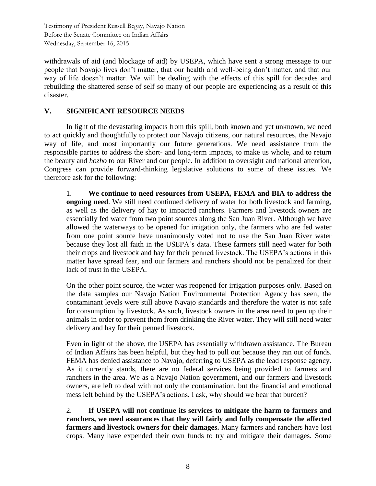withdrawals of aid (and blockage of aid) by USEPA, which have sent a strong message to our people that Navajo lives don't matter, that our health and well-being don't matter, and that our way of life doesn't matter. We will be dealing with the effects of this spill for decades and rebuilding the shattered sense of self so many of our people are experiencing as a result of this disaster.

# **V. SIGNIFICANT RESOURCE NEEDS**

In light of the devastating impacts from this spill, both known and yet unknown, we need to act quickly and thoughtfully to protect our Navajo citizens, our natural resources, the Navajo way of life, and most importantly our future generations. We need assistance from the responsible parties to address the short- and long-term impacts, to make us whole, and to return the beauty and *hozho* to our River and our people. In addition to oversight and national attention, Congress can provide forward-thinking legislative solutions to some of these issues. We therefore ask for the following:

1. **We continue to need resources from USEPA, FEMA and BIA to address the ongoing need**. We still need continued delivery of water for both livestock and farming, as well as the delivery of hay to impacted ranchers. Farmers and livestock owners are essentially fed water from two point sources along the San Juan River. Although we have allowed the waterways to be opened for irrigation only, the farmers who are fed water from one point source have unanimously voted not to use the San Juan River water because they lost all faith in the USEPA's data. These farmers still need water for both their crops and livestock and hay for their penned livestock. The USEPA's actions in this matter have spread fear, and our farmers and ranchers should not be penalized for their lack of trust in the USEPA.

On the other point source, the water was reopened for irrigation purposes only. Based on the data samples our Navajo Nation Environmental Protection Agency has seen, the contaminant levels were still above Navajo standards and therefore the water is not safe for consumption by livestock. As such, livestock owners in the area need to pen up their animals in order to prevent them from drinking the River water. They will still need water delivery and hay for their penned livestock.

Even in light of the above, the USEPA has essentially withdrawn assistance. The Bureau of Indian Affairs has been helpful, but they had to pull out because they ran out of funds. FEMA has denied assistance to Navajo, deferring to USEPA as the lead response agency. As it currently stands, there are no federal services being provided to farmers and ranchers in the area. We as a Navajo Nation government, and our farmers and livestock owners, are left to deal with not only the contamination, but the financial and emotional mess left behind by the USEPA's actions. I ask, why should we bear that burden?

2. **If USEPA will not continue its services to mitigate the harm to farmers and ranchers, we need assurances that they will fairly and fully compensate the affected farmers and livestock owners for their damages.** Many farmers and ranchers have lost crops. Many have expended their own funds to try and mitigate their damages. Some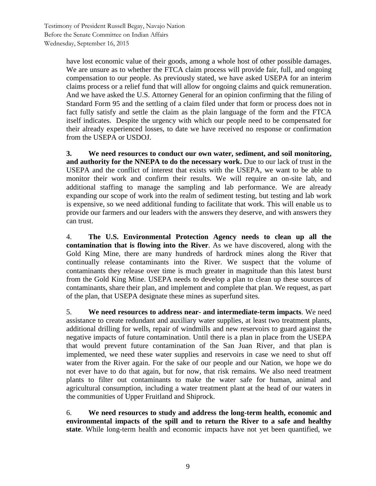have lost economic value of their goods, among a whole host of other possible damages. We are unsure as to whether the FTCA claim process will provide fair, full, and ongoing compensation to our people. As previously stated, we have asked USEPA for an interim claims process or a relief fund that will allow for ongoing claims and quick remuneration. And we have asked the U.S. Attorney General for an opinion confirming that the filing of Standard Form 95 and the settling of a claim filed under that form or process does not in fact fully satisfy and settle the claim as the plain language of the form and the FTCA itself indicates. Despite the urgency with which our people need to be compensated for their already experienced losses, to date we have received no response or confirmation from the USEPA or USDOJ.

**3. We need resources to conduct our own water, sediment, and soil monitoring, and authority for the NNEPA to do the necessary work.** Due to our lack of trust in the USEPA and the conflict of interest that exists with the USEPA, we want to be able to monitor their work and confirm their results. We will require an on-site lab, and additional staffing to manage the sampling and lab performance. We are already expanding our scope of work into the realm of sediment testing, but testing and lab work is expensive, so we need additional funding to facilitate that work. This will enable us to provide our farmers and our leaders with the answers they deserve, and with answers they can trust.

4. **The U.S. Environmental Protection Agency needs to clean up all the contamination that is flowing into the River**. As we have discovered, along with the Gold King Mine, there are many hundreds of hardrock mines along the River that continually release contaminants into the River. We suspect that the volume of contaminants they release over time is much greater in magnitude than this latest burst from the Gold King Mine. USEPA needs to develop a plan to clean up these sources of contaminants, share their plan, and implement and complete that plan. We request, as part of the plan, that USEPA designate these mines as superfund sites.

5. **We need resources to address near- and intermediate-term impacts**. We need assistance to create redundant and auxiliary water supplies, at least two treatment plants, additional drilling for wells, repair of windmills and new reservoirs to guard against the negative impacts of future contamination. Until there is a plan in place from the USEPA that would prevent future contamination of the San Juan River, and that plan is implemented, we need these water supplies and reservoirs in case we need to shut off water from the River again. For the sake of our people and our Nation, we hope we do not ever have to do that again, but for now, that risk remains. We also need treatment plants to filter out contaminants to make the water safe for human, animal and agricultural consumption, including a water treatment plant at the head of our waters in the communities of Upper Fruitland and Shiprock.

6. **We need resources to study and address the long-term health, economic and environmental impacts of the spill and to return the River to a safe and healthy state**. While long-term health and economic impacts have not yet been quantified, we